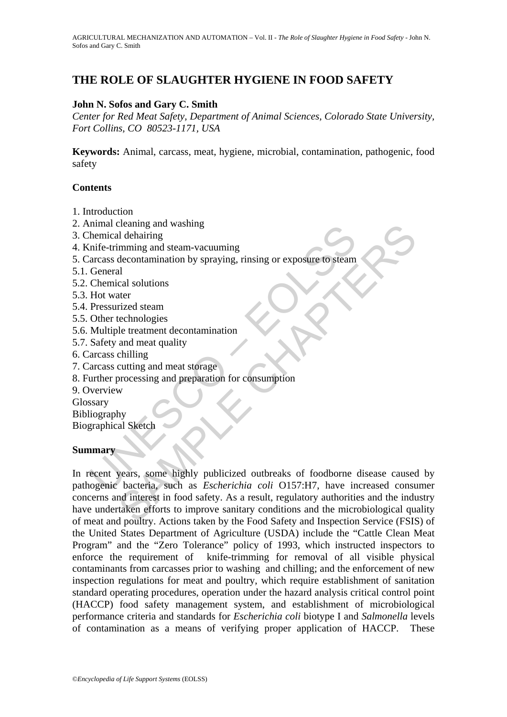# **THE ROLE OF SLAUGHTER HYGIENE IN FOOD SAFETY**

### **John N. Sofos and Gary C. Smith**

*Center for Red Meat Safety, Department of Animal Sciences, Colorado State University, Fort Collins, CO 80523-1171, USA* 

**Keywords:** Animal, carcass, meat, hygiene, microbial, contamination, pathogenic, food safety

### **Contents**

- 1. Introduction
- 2. Animal cleaning and washing
- 3. Chemical dehairing
- 4. Knife-trimming and steam-vacuuming
- 5. Carcass decontamination by spraying, rinsing or exposure to steam
- 5.1. General
- 5.2. Chemical solutions
- 5.3. Hot water
- 5.4. Pressurized steam
- 5.5. Other technologies
- 5.6. Multiple treatment decontamination
- 5.7. Safety and meat quality
- 6. Carcass chilling
- 7. Carcass cutting and meat storage
- 8. Further processing and preparation for consumption
- 9. Overview
- Glossary
- Bibliography

Biographical Sketch

#### **Summary**

mina cleaning and washing<br>
themical dehairing<br>
infe-trimming and steam-vacuuming<br>
darcass decontamination by spraying, rinsing or exposure to steam<br>
General<br>
Chemical solutions<br>
Hot water<br>
Hot water<br>
Other technologies<br>
Mu Constraints and washing<br>
and dehairing<br>
in mining and steam-vacuuming<br>
decontamination by spraying, rinsing or exposure to steam<br>
cal solutions<br>
cal solutions<br>
ater<br>
rized steam<br>
electronologies<br>
le treatment decontaminati In recent years, some highly publicized outbreaks of foodborne disease caused by pathogenic bacteria, such as *Escherichia coli* O157:H7, have increased consumer concerns and interest in food safety. As a result, regulatory authorities and the industry have undertaken efforts to improve sanitary conditions and the microbiological quality of meat and poultry. Actions taken by the Food Safety and Inspection Service (FSIS) of the United States Department of Agriculture (USDA) include the "Cattle Clean Meat Program" and the "Zero Tolerance" policy of 1993, which instructed inspectors to enforce the requirement of knife-trimming for removal of all visible physical contaminants from carcasses prior to washing and chilling; and the enforcement of new inspection regulations for meat and poultry, which require establishment of sanitation standard operating procedures, operation under the hazard analysis critical control point (HACCP) food safety management system, and establishment of microbiological performance criteria and standards for *Escherichia coli* biotype I and *Salmonella* levels of contamination as a means of verifying proper application of HACCP. These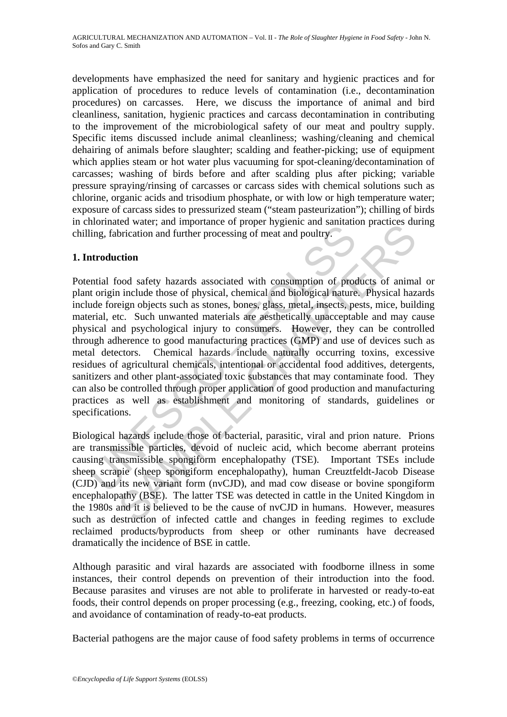developments have emphasized the need for sanitary and hygienic practices and for application of procedures to reduce levels of contamination (i.e., decontamination procedures) on carcasses. Here, we discuss the importance of animal and bird cleanliness, sanitation, hygienic practices and carcass decontamination in contributing to the improvement of the microbiological safety of our meat and poultry supply. Specific items discussed include animal cleanliness; washing/cleaning and chemical dehairing of animals before slaughter; scalding and feather-picking; use of equipment which applies steam or hot water plus vacuuming for spot-cleaning/decontamination of carcasses; washing of birds before and after scalding plus after picking; variable pressure spraying/rinsing of carcasses or carcass sides with chemical solutions such as chlorine, organic acids and trisodium phosphate, or with low or high temperature water; exposure of carcass sides to pressurized steam ("steam pasteurization"); chilling of birds in chlorinated water; and importance of proper hygienic and sanitation practices during chilling, fabrication and further processing of meat and poultry.

# **1. Introduction**

iling, fabrication and further processing of meat and poultry.<br>
In the same of the mean of the processing of meat and poultry.<br>
Introduction<br>
antial food safety hazards associated with consumption of process<br>
article forei Example of proper ingleand conducts. The minimal standard practics of which<br>tion and further processing of meat and poulty.<br> **Crion**<br>
cood safety hazards associated with consumption of products of anima<br>
include those of p Potential food safety hazards associated with consumption of products of animal or plant origin include those of physical, chemical and biological nature. Physical hazards include foreign objects such as stones, bones, glass, metal, insects, pests, mice, building material, etc. Such unwanted materials are aesthetically unacceptable and may cause physical and psychological injury to consumers. However, they can be controlled through adherence to good manufacturing practices (GMP) and use of devices such as metal detectors. Chemical hazards include naturally occurring toxins, excessive residues of agricultural chemicals, intentional or accidental food additives, detergents, sanitizers and other plant-associated toxic substances that may contaminate food. They can also be controlled through proper application of good production and manufacturing practices as well as establishment and monitoring of standards, guidelines or specifications.

Biological hazards include those of bacterial, parasitic, viral and prion nature. Prions are transmissible particles, devoid of nucleic acid, which become aberrant proteins causing transmissible spongiform encephalopathy (TSE). Important TSEs include sheep scrapie (sheep spongiform encephalopathy), human Creuztfeldt-Jacob Disease (CJD) and its new variant form (nvCJD), and mad cow disease or bovine spongiform encephalopathy (BSE). The latter TSE was detected in cattle in the United Kingdom in the 1980s and it is believed to be the cause of nvCJD in humans. However, measures such as destruction of infected cattle and changes in feeding regimes to exclude reclaimed products/byproducts from sheep or other ruminants have decreased dramatically the incidence of BSE in cattle.

Although parasitic and viral hazards are associated with foodborne illness in some instances, their control depends on prevention of their introduction into the food. Because parasites and viruses are not able to proliferate in harvested or ready-to-eat foods, their control depends on proper processing (e.g., freezing, cooking, etc.) of foods, and avoidance of contamination of ready-to-eat products.

Bacterial pathogens are the major cause of food safety problems in terms of occurrence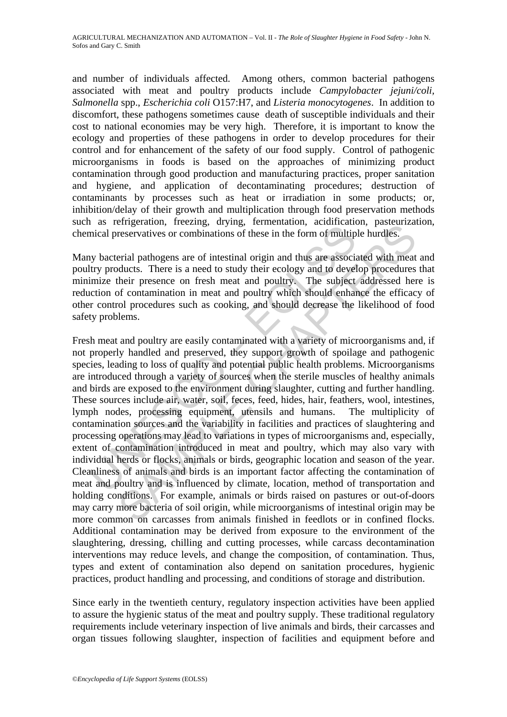and number of individuals affected. Among others, common bacterial pathogens associated with meat and poultry products include *Campylobacter jejuni/coli, Salmonella* spp., *Escherichia coli* O157:H7, and *Listeria monocytogenes*. In addition to discomfort, these pathogens sometimes cause death of susceptible individuals and their cost to national economies may be very high. Therefore, it is important to know the ecology and properties of these pathogens in order to develop procedures for their control and for enhancement of the safety of our food supply. Control of pathogenic microorganisms in foods is based on the approaches of minimizing product contamination through good production and manufacturing practices, proper sanitation and hygiene, and application of decontaminating procedures; destruction of contaminants by processes such as heat or irradiation in some products; or, inhibition/delay of their growth and multiplication through food preservation methods such as refrigeration, freezing, drying, fermentation, acidification, pasteurization, chemical preservatives or combinations of these in the form of multiple hurdles.

Many bacterial pathogens are of intestinal origin and thus are associated with meat and poultry products. There is a need to study their ecology and to develop procedures that minimize their presence on fresh meat and poultry. The subject addressed here is reduction of contamination in meat and poultry which should enhance the efficacy of other control procedures such as cooking, and should decrease the likelihood of food safety problems.

The Contention of these in the branchines of the content and polity and the same of multip and the same of methinal preservatives or combinations of these in the form of multip y bacterial pathogens are of intestinal origi Entergramon, increasing, drying, clementation, accurate mestervatives or combinations of these in the form of multiple hurdles.<br>
Freavilyes are need to study their ecology and to develop procedures<br>
Freal pathogens are of Fresh meat and poultry are easily contaminated with a variety of microorganisms and, if not properly handled and preserved, they support growth of spoilage and pathogenic species, leading to loss of quality and potential public health problems. Microorganisms are introduced through a variety of sources when the sterile muscles of healthy animals and birds are exposed to the environment during slaughter, cutting and further handling. These sources include air, water, soil, feces, feed, hides, hair, feathers, wool, intestines, lymph nodes, processing equipment, utensils and humans. The multiplicity of contamination sources and the variability in facilities and practices of slaughtering and processing operations may lead to variations in types of microorganisms and, especially, extent of contamination introduced in meat and poultry, which may also vary with individual herds or flocks, animals or birds, geographic location and season of the year. Cleanliness of animals and birds is an important factor affecting the contamination of meat and poultry and is influenced by climate, location, method of transportation and holding conditions. For example, animals or birds raised on pastures or out-of-doors may carry more bacteria of soil origin, while microorganisms of intestinal origin may be more common on carcasses from animals finished in feedlots or in confined flocks. Additional contamination may be derived from exposure to the environment of the slaughtering, dressing, chilling and cutting processes, while carcass decontamination interventions may reduce levels, and change the composition, of contamination. Thus, types and extent of contamination also depend on sanitation procedures, hygienic practices, product handling and processing, and conditions of storage and distribution.

Since early in the twentieth century, regulatory inspection activities have been applied to assure the hygienic status of the meat and poultry supply. These traditional regulatory requirements include veterinary inspection of live animals and birds, their carcasses and organ tissues following slaughter, inspection of facilities and equipment before and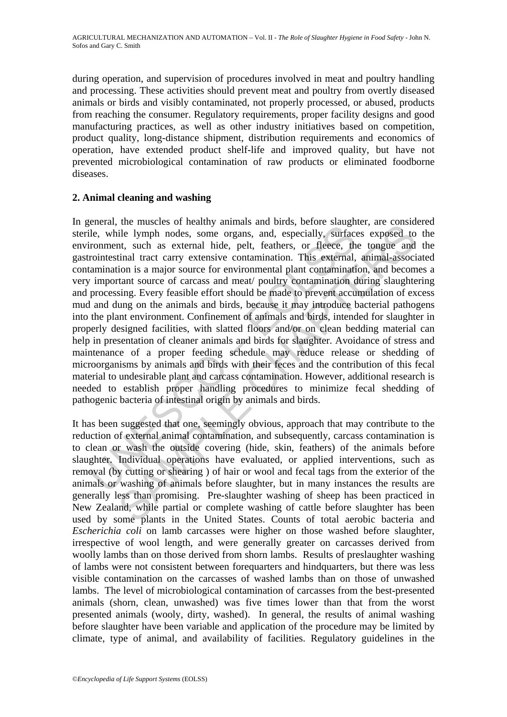during operation, and supervision of procedures involved in meat and poultry handling and processing. These activities should prevent meat and poultry from overtly diseased animals or birds and visibly contaminated, not properly processed, or abused, products from reaching the consumer. Regulatory requirements, proper facility designs and good manufacturing practices, as well as other industry initiatives based on competition, product quality, long-distance shipment, distribution requirements and economics of operation, have extended product shelf-life and improved quality, but have not prevented microbiological contamination of raw products or eliminated foodborne diseases.

## **2. Animal cleaning and washing**

expectively. The masses of meaning summans and consect subsects and the sumplined lele, while lymph nodes, some organs, and, sepecially, surface ironment, such as external hide, pelt, feathers, or fleece, the rointestinal In the masses or nearny ammans and one, occurs statement, are considered in<br>the lymph nodes, some organs, and, specially, surfaces exposed to<br>the set at the sexternal hide, pelt, feathers, or fleece, the tongue and<br>tinal t In general, the muscles of healthy animals and birds, before slaughter, are considered sterile, while lymph nodes, some organs, and, especially, surfaces exposed to the environment, such as external hide, pelt, feathers, or fleece, the tongue and the gastrointestinal tract carry extensive contamination. This external, animal-associated contamination is a major source for environmental plant contamination, and becomes a very important source of carcass and meat/ poultry contamination during slaughtering and processing. Every feasible effort should be made to prevent accumulation of excess mud and dung on the animals and birds, because it may introduce bacterial pathogens into the plant environment. Confinement of animals and birds, intended for slaughter in properly designed facilities, with slatted floors and/or on clean bedding material can help in presentation of cleaner animals and birds for slaughter. Avoidance of stress and maintenance of a proper feeding schedule may reduce release or shedding of microorganisms by animals and birds with their feces and the contribution of this fecal material to undesirable plant and carcass contamination. However, additional research is needed to establish proper handling procedures to minimize fecal shedding of pathogenic bacteria of intestinal origin by animals and birds.

It has been suggested that one, seemingly obvious, approach that may contribute to the reduction of external animal contamination, and subsequently, carcass contamination is to clean or wash the outside covering (hide, skin, feathers) of the animals before slaughter. Individual operations have evaluated, or applied interventions, such as removal (by cutting or shearing ) of hair or wool and fecal tags from the exterior of the animals or washing of animals before slaughter, but in many instances the results are generally less than promising. Pre-slaughter washing of sheep has been practiced in New Zealand, while partial or complete washing of cattle before slaughter has been used by some plants in the United States. Counts of total aerobic bacteria and *Escherichia coli* on lamb carcasses were higher on those washed before slaughter, irrespective of wool length, and were generally greater on carcasses derived from woolly lambs than on those derived from shorn lambs. Results of preslaughter washing of lambs were not consistent between forequarters and hindquarters, but there was less visible contamination on the carcasses of washed lambs than on those of unwashed lambs. The level of microbiological contamination of carcasses from the best-presented animals (shorn, clean, unwashed) was five times lower than that from the worst presented animals (wooly, dirty, washed). In general, the results of animal washing before slaughter have been variable and application of the procedure may be limited by climate, type of animal, and availability of facilities. Regulatory guidelines in the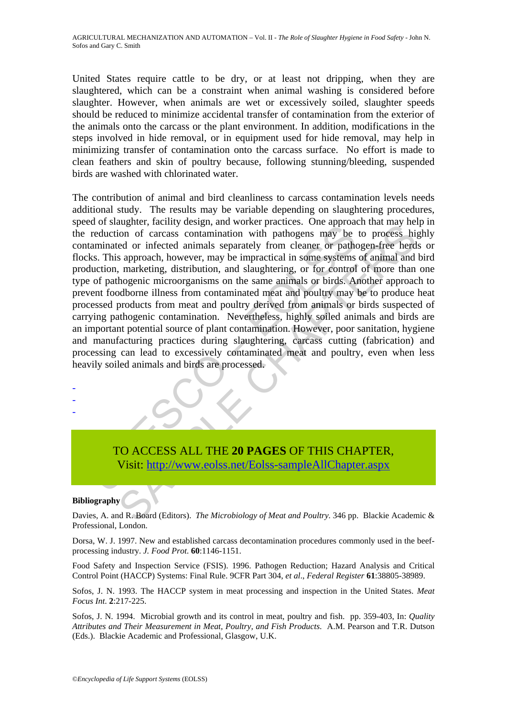United States require cattle to be dry, or at least not dripping, when they are slaughtered, which can be a constraint when animal washing is considered before slaughter. However, when animals are wet or excessively soiled, slaughter speeds should be reduced to minimize accidental transfer of contamination from the exterior of the animals onto the carcass or the plant environment. In addition, modifications in the steps involved in hide removal, or in equipment used for hide removal, may help in minimizing transfer of contamination onto the carcass surface. No effort is made to clean feathers and skin of poultry because, following stunning/bleeding, suspended birds are washed with chlorinated water.

Fraction of carcass contamination with pathogens may be reduction of carcass contamination with pathogens may be taminated or infected animals separately from cleaner or pathogens taminated or infected animals separately f and the most process contamination with pathogens may be to process his<br>coion of carcass contamination with pathogens may be to process his<br>ed or infected animals separately from cleaner or pathogen-free herd<br>s approach, h The contribution of animal and bird cleanliness to carcass contamination levels needs additional study. The results may be variable depending on slaughtering procedures, speed of slaughter, facility design, and worker practices. One approach that may help in the reduction of carcass contamination with pathogens may be to process highly contaminated or infected animals separately from cleaner or pathogen-free herds or flocks. This approach, however, may be impractical in some systems of animal and bird production, marketing, distribution, and slaughtering, or for control of more than one type of pathogenic microorganisms on the same animals or birds. Another approach to prevent foodborne illness from contaminated meat and poultry may be to produce heat processed products from meat and poultry derived from animals or birds suspected of carrying pathogenic contamination. Nevertheless, highly soiled animals and birds are an important potential source of plant contamination. However, poor sanitation, hygiene and manufacturing practices during slaughtering, carcass cutting (fabrication) and processing can lead to excessively contaminated meat and poultry, even when less heavily soiled animals and birds are processed.

TO ACCESS ALL THE **20 PAGES** OF THIS CHAPTER, Visit: http://www.eolss.net/Eolss-sampleAllChapter.aspx

#### **Bibliography**

- - -

Davies, A. and R. Board (Editors). *The Microbiology of Meat and Poultry.* 346 pp. Blackie Academic & Professional, London.

Dorsa, W. J. 1997. New and established carcass decontamination procedures commonly used in the beefprocessing industry. *J. Food Prot*. **60**:1146-1151.

Food Safety and Inspection Service (FSIS). 1996. Pathogen Reduction; Hazard Analysis and Critical Control Point (HACCP) Systems: Final Rule. 9CFR Part 304, *et al*., *Federal Register* **61**:38805-38989.

Sofos, J. N. 1993. The HACCP system in meat processing and inspection in the United States. *Meat Focus Int*. **2**:217-225.

Sofos, J. N. 1994. Microbial growth and its control in meat, poultry and fish. pp. 359-403, In: *Quality Attributes and Their Measurement in Meat, Poultry, and Fish Products*. A.M. Pearson and T.R. Dutson (Eds.). Blackie Academic and Professional, Glasgow, U.K.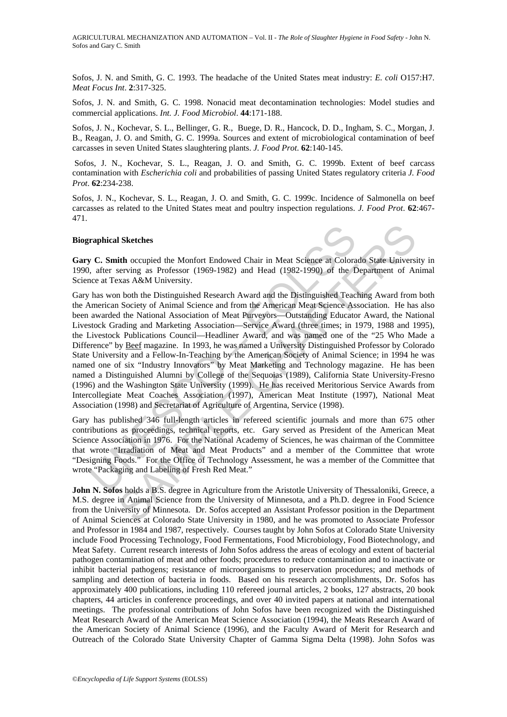AGRICULTURAL MECHANIZATION AND AUTOMATION – Vol. II - *The Role of Slaughter Hygiene in Food Safety* - John N. Sofos and Gary C. Smith

Sofos, J. N. and Smith, G. C. 1993. The headache of the United States meat industry: *E. coli* O157:H7. *Meat Focus Int*. **2**:317-325.

Sofos, J. N. and Smith, G. C. 1998. Nonacid meat decontamination technologies: Model studies and commercial applications. *Int. J. Food Microbiol*. **44**:171-188.

Sofos, J. N., Kochevar, S. L., Bellinger, G. R., Buege, D. R., Hancock, D. D., Ingham, S. C., Morgan, J. B., Reagan, J. O. and Smith, G. C. 1999a. Sources and extent of microbiological contamination of beef carcasses in seven United States slaughtering plants. *J. Food Prot*. **62**:140-145.

 Sofos, J. N., Kochevar, S. L., Reagan, J. O. and Smith, G. C. 1999b. Extent of beef carcass contamination with *Escherichia coli* and probabilities of passing United States regulatory criteria *J. Food Prot*. **62**:234-238.

Sofos, J. N., Kochevar, S. L., Reagan, J. O. and Smith, G. C. 1999c. Incidence of Salmonella on beef carcasses as related to the United States meat and poultry inspection regulations. *J. Food Prot*. **62**:467- 471.

#### **Biographical Sketches**

**Gary C. Smith** occupied the Monfort Endowed Chair in Meat Science at Colorado State University in 1990, after serving as Professor (1969-1982) and Head (1982-1990) of the Department of Animal Science at Texas A&M University.

**raphical Sketches**<br> **v C. Smith** occupied the Monfort Endowed Chair in Meat Science at Colora, after serving as Professor (1969-1982) and Head (1982-1990) of the D. has won both the Distinguished Research Award and the Di I Sketches<br>
ith occupied the Monfort Endowed Chair in Meat Science at Colordo State University.<br>
Encyring as Professor (1969-1982) and Head (1982-1990) of the Department of Ar<br>
xxas A&M University.<br>
In both the Distinguish Gary has won both the Distinguished Research Award and the Distinguished Teaching Award from both the American Society of Animal Science and from the American Meat Science Association. He has also been awarded the National Association of Meat Purveyors—Outstanding Educator Award, the National Livestock Grading and Marketing Association—Service Award (three times; in 1979, 1988 and 1995), the Livestock Publications Council—Headliner Award, and was named one of the "25 Who Made a Difference" by Beef magazine. In 1993, he was named a University Distinguished Professor by Colorado State University and a Fellow-In-Teaching by the American Society of Animal Science; in 1994 he was named one of six "Industry Innovators" by Meat Marketing and Technology magazine. He has been named a Distinguished Alumni by College of the Sequoias (1989), California State University-Fresno (1996) and the Washington State University (1999). He has received Meritorious Service Awards from Intercollegiate Meat Coaches Association (1997), American Meat Institute (1997), National Meat Association (1998) and Secretariat of Agriculture of Argentina, Service (1998).

Gary has published 346 full-length articles in refereed scientific journals and more than 675 other contributions as proceedings, technical reports, etc. Gary served as President of the American Meat Science Association in 1976. For the National Academy of Sciences, he was chairman of the Committee that wrote "Irradiation of Meat and Meat Products" and a member of the Committee that wrote "Designing Foods." For the Office of Technology Assessment, he was a member of the Committee that wrote "Packaging and Labeling of Fresh Red Meat."

**John N. Sofos** holds a B.S. degree in Agriculture from the Aristotle University of Thessaloniki, Greece, a M.S. degree in Animal Science from the University of Minnesota, and a Ph.D. degree in Food Science from the University of Minnesota. Dr. Sofos accepted an Assistant Professor position in the Department of Animal Sciences at Colorado State University in 1980, and he was promoted to Associate Professor and Professor in 1984 and 1987, respectively. Courses taught by John Sofos at Colorado State University include Food Processing Technology, Food Fermentations, Food Microbiology, Food Biotechnology, and Meat Safety. Current research interests of John Sofos address the areas of ecology and extent of bacterial pathogen contamination of meat and other foods; procedures to reduce contamination and to inactivate or inhibit bacterial pathogens; resistance of microorganisms to preservation procedures; and methods of sampling and detection of bacteria in foods. Based on his research accomplishments, Dr. Sofos has approximately 400 publications, including 110 refereed journal articles, 2 books, 127 abstracts, 20 book chapters, 44 articles in conference proceedings, and over 40 invited papers at national and international meetings. The professional contributions of John Sofos have been recognized with the Distinguished Meat Research Award of the American Meat Science Association (1994), the Meats Research Award of the American Society of Animal Science (1996), and the Faculty Award of Merit for Research and Outreach of the Colorado State University Chapter of Gamma Sigma Delta (1998). John Sofos was